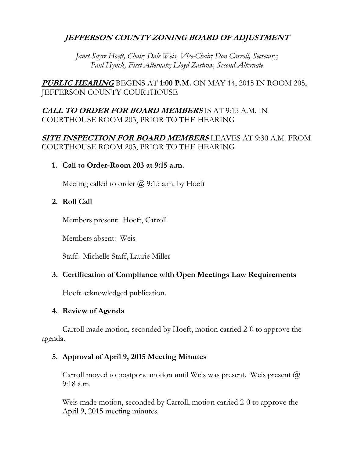# **JEFFERSON COUNTY ZONING BOARD OF ADJUSTMENT**

*Janet Sayre Hoeft, Chair; Dale Weis, Vice-Chair; Don Carroll, Secretary; Paul Hynek, First Alternate; Lloyd Zastrow, Second Alternate*

**PUBLIC HEARING** BEGINS AT **1:00 P.M.** ON MAY 14, 2015 IN ROOM 205, JEFFERSON COUNTY COURTHOUSE

# **CALL TO ORDER FOR BOARD MEMBERS** IS AT 9:15 A.M. IN COURTHOUSE ROOM 203, PRIOR TO THE HEARING

# **SITE INSPECTION FOR BOARD MEMBERS** LEAVES AT 9:30 A.M. FROM COURTHOUSE ROOM 203, PRIOR TO THE HEARING

## **1. Call to Order-Room 203 at 9:15 a.m.**

Meeting called to order  $\omega$  9:15 a.m. by Hoeft

## **2. Roll Call**

Members present: Hoeft, Carroll

Members absent: Weis

Staff: Michelle Staff, Laurie Miller

## **3. Certification of Compliance with Open Meetings Law Requirements**

Hoeft acknowledged publication.

## **4. Review of Agenda**

Carroll made motion, seconded by Hoeft, motion carried 2-0 to approve the agenda.

## **5. Approval of April 9, 2015 Meeting Minutes**

Carroll moved to postpone motion until Weis was present. Weis present  $\omega$ 9:18 a.m.

Weis made motion, seconded by Carroll, motion carried 2-0 to approve the April 9, 2015 meeting minutes.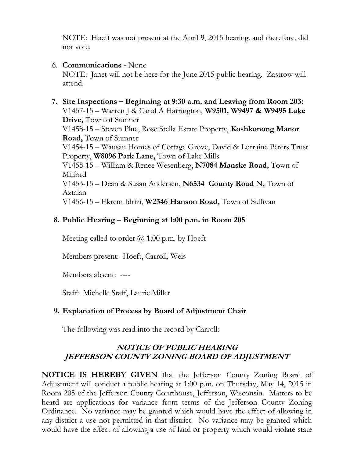NOTE: Hoeft was not present at the April 9, 2015 hearing, and therefore, did not vote.

## 6. **Communications -** None

NOTE: Janet will not be here for the June 2015 public hearing. Zastrow will attend.

 **7. Site Inspections – Beginning at 9:30 a.m. and Leaving from Room 203:** V1457-15 – Warren J & Carol A Harrington, **W9501, W9497 & W9495 Lake Drive,** Town of Sumner V1458-15 – Steven Plue, Rose Stella Estate Property, **Koshkonong Manor Road,** Town of Sumner V1454-15 – Wausau Homes of Cottage Grove, David & Lorraine Peters Trust Property, **W8096 Park Lane,** Town of Lake Mills V1455-15 – William & Renee Wesenberg, **N7084 Manske Road,** Town of Milford V1453-15 – Dean & Susan Andersen, **N6534 County Road N,** Town of Aztalan V1456-15 – Ekrem Idrizi, **W2346 Hanson Road,** Town of Sullivan

# **8. Public Hearing – Beginning at 1:00 p.m. in Room 205**

Meeting called to order  $\omega$  1:00 p.m. by Hoeft

Members present: Hoeft, Carroll, Weis

Members absent: ----

Staff: Michelle Staff, Laurie Miller

## **9. Explanation of Process by Board of Adjustment Chair**

The following was read into the record by Carroll:

# **NOTICE OF PUBLIC HEARING JEFFERSON COUNTY ZONING BOARD OF ADJUSTMENT**

**NOTICE IS HEREBY GIVEN** that the Jefferson County Zoning Board of Adjustment will conduct a public hearing at 1:00 p.m. on Thursday, May 14, 2015 in Room 205 of the Jefferson County Courthouse, Jefferson, Wisconsin. Matters to be heard are applications for variance from terms of the Jefferson County Zoning Ordinance. No variance may be granted which would have the effect of allowing in any district a use not permitted in that district. No variance may be granted which would have the effect of allowing a use of land or property which would violate state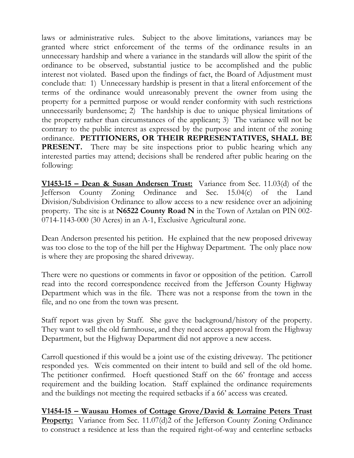laws or administrative rules. Subject to the above limitations, variances may be granted where strict enforcement of the terms of the ordinance results in an unnecessary hardship and where a variance in the standards will allow the spirit of the ordinance to be observed, substantial justice to be accomplished and the public interest not violated. Based upon the findings of fact, the Board of Adjustment must conclude that: 1) Unnecessary hardship is present in that a literal enforcement of the terms of the ordinance would unreasonably prevent the owner from using the property for a permitted purpose or would render conformity with such restrictions unnecessarily burdensome; 2) The hardship is due to unique physical limitations of the property rather than circumstances of the applicant; 3) The variance will not be contrary to the public interest as expressed by the purpose and intent of the zoning ordinance. **PETITIONERS, OR THEIR REPRESENTATIVES, SHALL BE PRESENT.** There may be site inspections prior to public hearing which any interested parties may attend; decisions shall be rendered after public hearing on the following:

**V1453-15 – Dean & Susan Andersen Trust:** Variance from Sec. 11.03(d) of the Jefferson County Zoning Ordinance and Sec. 15.04(c) of the Land Division/Subdivision Ordinance to allow access to a new residence over an adjoining property. The site is at **N6522 County Road N** in the Town of Aztalan on PIN 002- 0714-1143-000 (30 Acres) in an A-1, Exclusive Agricultural zone.

Dean Anderson presented his petition. He explained that the new proposed driveway was too close to the top of the hill per the Highway Department. The only place now is where they are proposing the shared driveway.

There were no questions or comments in favor or opposition of the petition. Carroll read into the record correspondence received from the Jefferson County Highway Department which was in the file. There was not a response from the town in the file, and no one from the town was present.

Staff report was given by Staff. She gave the background/history of the property. They want to sell the old farmhouse, and they need access approval from the Highway Department, but the Highway Department did not approve a new access.

Carroll questioned if this would be a joint use of the existing driveway. The petitioner responded yes. Weis commented on their intent to build and sell of the old home. The petitioner confirmed. Hoeft questioned Staff on the 66' frontage and access requirement and the building location. Staff explained the ordinance requirements and the buildings not meeting the required setbacks if a 66' access was created.

**V1454-15 – Wausau Homes of Cottage Grove/David & Lorraine Peters Trust Property:** Variance from Sec. 11.07(d)2 of the Jefferson County Zoning Ordinance to construct a residence at less than the required right-of-way and centerline setbacks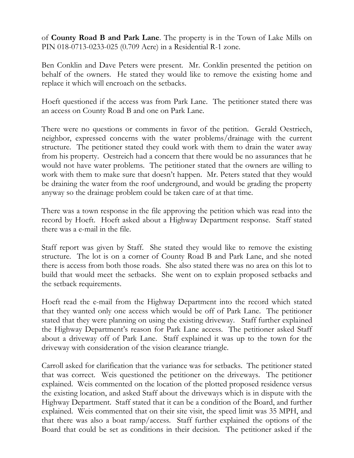of **County Road B and Park Lane**. The property is in the Town of Lake Mills on PIN 018-0713-0233-025 (0.709 Acre) in a Residential R-1 zone.

Ben Conklin and Dave Peters were present. Mr. Conklin presented the petition on behalf of the owners. He stated they would like to remove the existing home and replace it which will encroach on the setbacks.

Hoeft questioned if the access was from Park Lane. The petitioner stated there was an access on County Road B and one on Park Lane.

There were no questions or comments in favor of the petition. Gerald Oestriech, neighbor, expressed concerns with the water problems/drainage with the current structure. The petitioner stated they could work with them to drain the water away from his property. Oestreich had a concern that there would be no assurances that he would not have water problems. The petitioner stated that the owners are willing to work with them to make sure that doesn't happen. Mr. Peters stated that they would be draining the water from the roof underground, and would be grading the property anyway so the drainage problem could be taken care of at that time.

There was a town response in the file approving the petition which was read into the record by Hoeft. Hoeft asked about a Highway Department response. Staff stated there was a e-mail in the file.

Staff report was given by Staff. She stated they would like to remove the existing structure. The lot is on a corner of County Road B and Park Lane, and she noted there is access from both those roads. She also stated there was no area on this lot to build that would meet the setbacks. She went on to explain proposed setbacks and the setback requirements.

Hoeft read the e-mail from the Highway Department into the record which stated that they wanted only one access which would be off of Park Lane. The petitioner stated that they were planning on using the existing driveway. Staff further explained the Highway Department's reason for Park Lane access. The petitioner asked Staff about a driveway off of Park Lane. Staff explained it was up to the town for the driveway with consideration of the vision clearance triangle.

Carroll asked for clarification that the variance was for setbacks. The petitioner stated that was correct. Weis questioned the petitioner on the driveways. The petitioner explained. Weis commented on the location of the plotted proposed residence versus the existing location, and asked Staff about the driveways which is in dispute with the Highway Department. Staff stated that it can be a condition of the Board, and further explained. Weis commented that on their site visit, the speed limit was 35 MPH, and that there was also a boat ramp/access. Staff further explained the options of the Board that could be set as conditions in their decision. The petitioner asked if the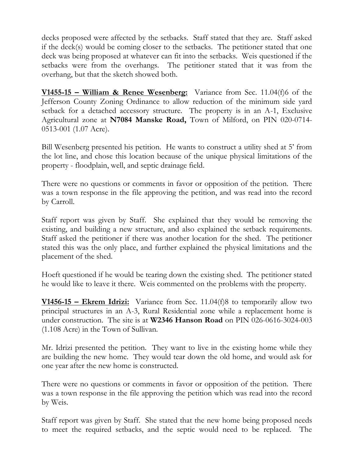decks proposed were affected by the setbacks. Staff stated that they are. Staff asked if the deck(s) would be coming closer to the setbacks. The petitioner stated that one deck was being proposed at whatever can fit into the setbacks. Weis questioned if the setbacks were from the overhangs. The petitioner stated that it was from the overhang, but that the sketch showed both.

**V1455-15 – William & Renee Wesenberg:** Variance from Sec. 11.04(f)6 of the Jefferson County Zoning Ordinance to allow reduction of the minimum side yard setback for a detached accessory structure. The property is in an A-1, Exclusive Agricultural zone at **N7084 Manske Road,** Town of Milford, on PIN 020-0714- 0513-001 (1.07 Acre).

Bill Wesenberg presented his petition. He wants to construct a utility shed at 5' from the lot line, and chose this location because of the unique physical limitations of the property - floodplain, well, and septic drainage field.

There were no questions or comments in favor or opposition of the petition. There was a town response in the file approving the petition, and was read into the record by Carroll.

Staff report was given by Staff. She explained that they would be removing the existing, and building a new structure, and also explained the setback requirements. Staff asked the petitioner if there was another location for the shed. The petitioner stated this was the only place, and further explained the physical limitations and the placement of the shed.

Hoeft questioned if he would be tearing down the existing shed. The petitioner stated he would like to leave it there. Weis commented on the problems with the property.

**V1456-15 – Ekrem Idrizi:** Variance from Sec. 11.04(f)8 to temporarily allow two principal structures in an A-3, Rural Residential zone while a replacement home is under construction. The site is at **W2346 Hanson Road** on PIN 026-0616-3024-003 (1.108 Acre) in the Town of Sullivan.

Mr. Idrizi presented the petition. They want to live in the existing home while they are building the new home. They would tear down the old home, and would ask for one year after the new home is constructed.

There were no questions or comments in favor or opposition of the petition. There was a town response in the file approving the petition which was read into the record by Weis.

Staff report was given by Staff. She stated that the new home being proposed needs to meet the required setbacks, and the septic would need to be replaced. The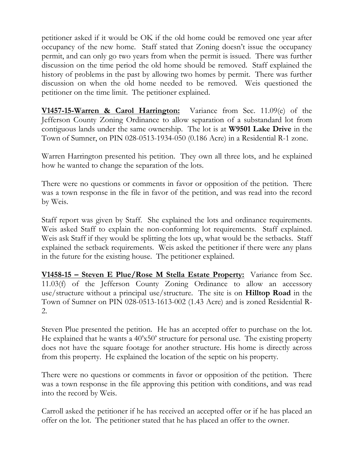petitioner asked if it would be OK if the old home could be removed one year after occupancy of the new home. Staff stated that Zoning doesn't issue the occupancy permit, and can only go two years from when the permit is issued. There was further discussion on the time period the old home should be removed. Staff explained the history of problems in the past by allowing two homes by permit. There was further discussion on when the old home needed to be removed. Weis questioned the petitioner on the time limit. The petitioner explained.

**V1457-15-Warren & Carol Harrington:** Variance from Sec. 11.09(e) of the Jefferson County Zoning Ordinance to allow separation of a substandard lot from contiguous lands under the same ownership. The lot is at **W9501 Lake Drive** in the Town of Sumner, on PIN 028-0513-1934-050 (0.186 Acre) in a Residential R-1 zone.

Warren Harrington presented his petition. They own all three lots, and he explained how he wanted to change the separation of the lots.

There were no questions or comments in favor or opposition of the petition. There was a town response in the file in favor of the petition, and was read into the record by Weis.

Staff report was given by Staff. She explained the lots and ordinance requirements. Weis asked Staff to explain the non-conforming lot requirements. Staff explained. Weis ask Staff if they would be splitting the lots up, what would be the setbacks. Staff explained the setback requirements. Weis asked the petitioner if there were any plans in the future for the existing house. The petitioner explained.

**V1458-15 – Steven E Plue/Rose M Stella Estate Property:** Variance from Sec. 11.03(f) of the Jefferson County Zoning Ordinance to allow an accessory use/structure without a principal use/structure. The site is on **Hilltop Road** in the Town of Sumner on PIN 028-0513-1613-002 (1.43 Acre) and is zoned Residential R-2.

Steven Plue presented the petition. He has an accepted offer to purchase on the lot. He explained that he wants a 40'x50' structure for personal use. The existing property does not have the square footage for another structure. His home is directly across from this property. He explained the location of the septic on his property.

There were no questions or comments in favor or opposition of the petition. There was a town response in the file approving this petition with conditions, and was read into the record by Weis.

Carroll asked the petitioner if he has received an accepted offer or if he has placed an offer on the lot. The petitioner stated that he has placed an offer to the owner.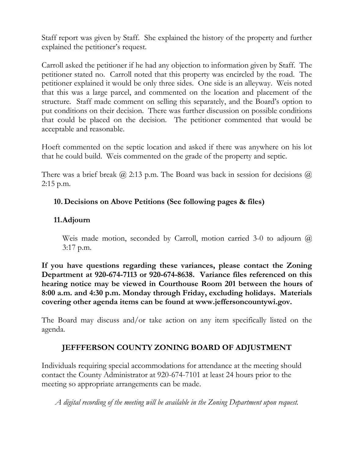Staff report was given by Staff. She explained the history of the property and further explained the petitioner's request.

Carroll asked the petitioner if he had any objection to information given by Staff. The petitioner stated no. Carroll noted that this property was encircled by the road. The petitioner explained it would be only three sides. One side is an alleyway. Weis noted that this was a large parcel, and commented on the location and placement of the structure. Staff made comment on selling this separately, and the Board's option to put conditions on their decision. There was further discussion on possible conditions that could be placed on the decision. The petitioner commented that would be acceptable and reasonable.

Hoeft commented on the septic location and asked if there was anywhere on his lot that he could build. Weis commented on the grade of the property and septic.

There was a brief break  $\omega$  2:13 p.m. The Board was back in session for decisions  $\omega$ 2:15 p.m.

# **10. Decisions on Above Petitions (See following pages & files)**

# **11.Adjourn**

Weis made motion, seconded by Carroll, motion carried 3-0 to adjourn  $\omega$ 3:17 p.m.

**If you have questions regarding these variances, please contact the Zoning Department at 920-674-7113 or 920-674-8638. Variance files referenced on this hearing notice may be viewed in Courthouse Room 201 between the hours of 8:00 a.m. and 4:30 p.m. Monday through Friday, excluding holidays. Materials covering other agenda items can be found at www.jeffersoncountywi.gov.**

The Board may discuss and/or take action on any item specifically listed on the agenda.

# **JEFFFERSON COUNTY ZONING BOARD OF ADJUSTMENT**

Individuals requiring special accommodations for attendance at the meeting should contact the County Administrator at 920-674-7101 at least 24 hours prior to the meeting so appropriate arrangements can be made.

*A digital recording of the meeting will be available in the Zoning Department upon request.*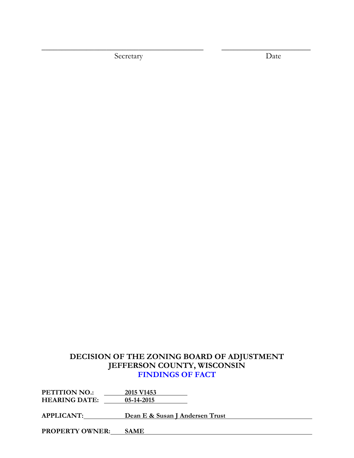Secretary Date Date

\_\_\_\_\_\_\_\_\_\_\_\_\_\_\_\_\_\_\_\_\_\_\_\_\_\_\_\_\_\_\_\_\_\_\_\_\_\_\_\_ \_\_\_\_\_\_\_\_\_\_\_\_\_\_\_\_\_\_\_\_\_\_

# **DECISION OF THE ZONING BOARD OF ADJUSTMENT JEFFERSON COUNTY, WISCONSIN FINDINGS OF FACT**

**PETITION NO.: 2015 V1453 HEARING DATE: 05-14-2015**

**APPLICANT: Dean E & Susan J Andersen Trust**

**PROPERTY OWNER: SAME**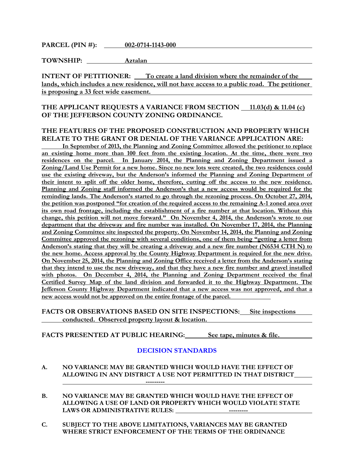**PARCEL (PIN #): 002-0714-1143-000**

**TOWNSHIP: Aztalan**

**INTENT OF PETITIONER:** To create a land division where the remainder of the **lands, which includes a new residence, will not have access to a public road. The petitioner is proposing a 33 feet wide easement.** 

### THE APPLICANT REQUESTS A VARIANCE FROM SECTION 11.03(d) & 11.04 (c) **OF THE JEFFERSON COUNTY ZONING ORDINANCE.**

#### **THE FEATURES OF THE PROPOSED CONSTRUCTION AND PROPERTY WHICH RELATE TO THE GRANT OR DENIAL OF THE VARIANCE APPLICATION ARE:**

**In September of 2013, the Planning and Zoning Committee allowed the petitioner to replace an existing home more than 100 feet from the existing location. At the time, there were two residences on the parcel. In January 2014, the Planning and Zoning Department issued a Zoning/Land Use Permit for a new home. Since no new lots were created, the two residences could use the existing driveway, but the Anderson's informed the Planning and Zoning Department of their intent to split off the older home, therefore, cutting off the access to the new residence. Planning and Zoning staff informed the Anderson's that a new access would be required for the reminding lands. The Anderson's started to go through the rezoning process. On October 27, 2014, the petition was postponed "for creation of the required access to the remaining A-1 zoned area over its own road frontage, including the establishment of a fire number at that location. Without this change, this petition will not move forward." On November 4, 2014, the Anderson's wrote to our department that the driveway and fire number was installed. On November 17, 2014, the Planning and Zoning Committee site inspected the property. On November 14, 2014, the Planning and Zoning Committee approved the rezoning with several conditions, one of them being "getting a letter from Anderson's stating that they will be creating a driveway and a new fire number (N6534 CTH N) to the new home. Access approval by the County Highway Department is required for the new drive. On November 25, 2014, the Planning and Zoning Office received a letter from the Anderson's stating that they intend to use the new driveway, and that they have a new fire number and gravel installed**  with photos. On December 4, 2014, the Planning and Zoning Department received the final **Certified Survey Map of the land division and forwarded it to the Highway Department. The Jefferson County Highway Department indicated that a new access was not approved, and that a new access would not be approved on the entire frontage of the parcel.**

#### **FACTS OR OBSERVATIONS BASED ON SITE INSPECTIONS: Site inspections conducted. Observed property layout & location.**

**FACTS PRESENTED AT PUBLIC HEARING: See tape, minutes & file.**

- **A. NO VARIANCE MAY BE GRANTED WHICH WOULD HAVE THE EFFECT OF ALLOWING IN ANY DISTRICT A USE NOT PERMITTED IN THAT DISTRICT ---------**
- **B. NO VARIANCE MAY BE GRANTED WHICH WOULD HAVE THE EFFECT OF ALLOWING A USE OF LAND OR PROPERTY WHICH WOULD VIOLATE STATE LAWS OR ADMINISTRATIVE RULES: ---------**
- **C. SUBJECT TO THE ABOVE LIMITATIONS, VARIANCES MAY BE GRANTED WHERE STRICT ENFORCEMENT OF THE TERMS OF THE ORDINANCE**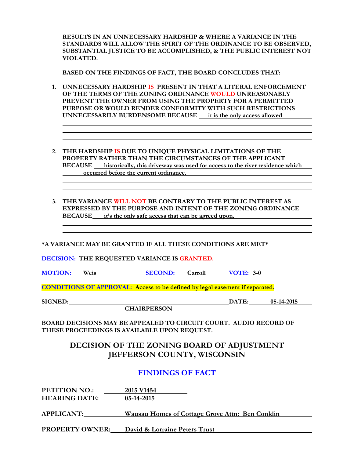**RESULTS IN AN UNNECESSARY HARDSHIP & WHERE A VARIANCE IN THE STANDARDS WILL ALLOW THE SPIRIT OF THE ORDINANCE TO BE OBSERVED, SUBSTANTIAL JUSTICE TO BE ACCOMPLISHED, & THE PUBLIC INTEREST NOT VIOLATED.**

**BASED ON THE FINDINGS OF FACT, THE BOARD CONCLUDES THAT:**

- **1. UNNECESSARY HARDSHIP IS PRESENT IN THAT A LITERAL ENFORCEMENT OF THE TERMS OF THE ZONING ORDINANCE WOULD UNREASONABLY PREVENT THE OWNER FROM USING THE PROPERTY FOR A PERMITTED PURPOSE OR WOULD RENDER CONFORMITY WITH SUCH RESTRICTIONS UNNECESSARILY BURDENSOME BECAUSE it is the only access allowed**
- **2. THE HARDSHIP IS DUE TO UNIQUE PHYSICAL LIMITATIONS OF THE PROPERTY RATHER THAN THE CIRCUMSTANCES OF THE APPLICANT BECAUSE** historically, this driveway was used for access to the river residence which **occurred before the current ordinance.**
- **3. THE VARIANCE WILL NOT BE CONTRARY TO THE PUBLIC INTEREST AS EXPRESSED BY THE PURPOSE AND INTENT OF THE ZONING ORDINANCE BECAUSE it's the only safe access that can be agreed upon.**

**\*A VARIANCE MAY BE GRANTED IF ALL THESE CONDITIONS ARE MET\***

**DECISION: THE REQUESTED VARIANCE IS GRANTED.**

**MOTION: Weis SECOND: Carroll VOTE: 3-0**

**CONDITIONS OF APPROVAL: Access to be defined by legal easement if separated.**

**CHAIRPERSON**

**SIGNED: DATE: 05-14-2015**

**BOARD DECISIONS MAY BE APPEALED TO CIRCUIT COURT. AUDIO RECORD OF THESE PROCEEDINGS IS AVAILABLE UPON REQUEST.**

## **DECISION OF THE ZONING BOARD OF ADJUSTMENT JEFFERSON COUNTY, WISCONSIN**

## **FINDINGS OF FACT**

**PETITION NO.: 2015 V1454 HEARING DATE: 05-14-2015**

**APPLICANT: Wausau Homes of Cottage Grove Attn: Ben Conklin**

**PROPERTY OWNER: David & Lorraine Peters Trust**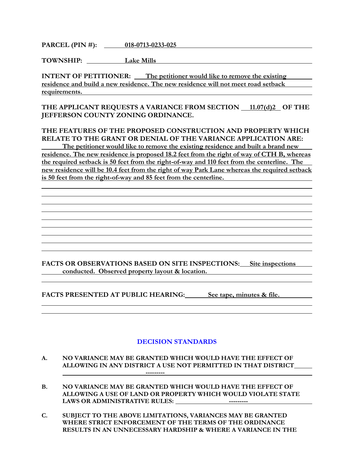**PARCEL (PIN #): 018-0713-0233-025**

**TOWNSHIP: Lake Mills**

**INTENT OF PETITIONER:** The petitioner would like to remove the existing **residence and build a new residence. The new residence will not meet road setback requirements.** 

THE APPLICANT REQUESTS A VARIANCE FROM SECTION 11.07(d)<sub>2</sub> OF THE **JEFFERSON COUNTY ZONING ORDINANCE.**

**THE FEATURES OF THE PROPOSED CONSTRUCTION AND PROPERTY WHICH RELATE TO THE GRANT OR DENIAL OF THE VARIANCE APPLICATION ARE:**

**The petitioner would like to remove the existing residence and built a brand new residence. The new residence is proposed 18.2 feet from the right of way of CTH B, whereas the required setback is 50 feet from the right-of-way and 110 feet from the centerline. The new residence will be 10.4 feet from the right of way Park Lane whereas the required setback is 50 feet from the right-of-way and 85 feet from the centerline.** 

**FACTS OR OBSERVATIONS BASED ON SITE INSPECTIONS: Site inspections conducted. Observed property layout & location.**

**FACTS PRESENTED AT PUBLIC HEARING: See tape, minutes & file.**

- **A. NO VARIANCE MAY BE GRANTED WHICH WOULD HAVE THE EFFECT OF ALLOWING IN ANY DISTRICT A USE NOT PERMITTED IN THAT DISTRICT ---------**
- **B. NO VARIANCE MAY BE GRANTED WHICH WOULD HAVE THE EFFECT OF ALLOWING A USE OF LAND OR PROPERTY WHICH WOULD VIOLATE STATE LAWS OR ADMINISTRATIVE RULES: ---------**
- **C. SUBJECT TO THE ABOVE LIMITATIONS, VARIANCES MAY BE GRANTED WHERE STRICT ENFORCEMENT OF THE TERMS OF THE ORDINANCE RESULTS IN AN UNNECESSARY HARDSHIP & WHERE A VARIANCE IN THE**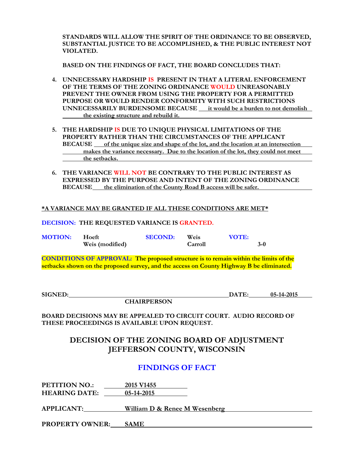**STANDARDS WILL ALLOW THE SPIRIT OF THE ORDINANCE TO BE OBSERVED, SUBSTANTIAL JUSTICE TO BE ACCOMPLISHED, & THE PUBLIC INTEREST NOT VIOLATED.**

**BASED ON THE FINDINGS OF FACT, THE BOARD CONCLUDES THAT:**

- **4. UNNECESSARY HARDSHIP IS PRESENT IN THAT A LITERAL ENFORCEMENT OF THE TERMS OF THE ZONING ORDINANCE WOULD UNREASONABLY PREVENT THE OWNER FROM USING THE PROPERTY FOR A PERMITTED PURPOSE OR WOULD RENDER CONFORMITY WITH SUCH RESTRICTIONS UNNECESSARILY BURDENSOME BECAUSE it would be a burden to not demolish the existing structure and rebuild it.**
- **5. THE HARDSHIP IS DUE TO UNIQUE PHYSICAL LIMITATIONS OF THE PROPERTY RATHER THAN THE CIRCUMSTANCES OF THE APPLICANT BECAUSE** of the unique size and shape of the lot, and the location at an intersection **makes the variance necessary. Due to the location of the lot, they could not meet the setbacks.**
- **6. THE VARIANCE WILL NOT BE CONTRARY TO THE PUBLIC INTEREST AS EXPRESSED BY THE PURPOSE AND INTENT OF THE ZONING ORDINANCE BECAUSE the elimination of the County Road B access will be safer.**

#### **\*A VARIANCE MAY BE GRANTED IF ALL THESE CONDITIONS ARE MET\***

#### **DECISION: THE REQUESTED VARIANCE IS GRANTED.**

| <b>MOTION:</b> | – Hoeft         | <b>SECOND:</b> | Weis    | <b>VOTE:</b> |       |
|----------------|-----------------|----------------|---------|--------------|-------|
|                | Weis (modified) |                | Carroll |              | $3-0$ |

**CONDITIONS OF APPROVAL: The proposed structure is to remain within the limits of the setbacks shown on the proposed survey, and the access on County Highway B be eliminated.**

**CHAIRPERSON**

**SIGNED: DATE: 05-14-2015**

**BOARD DECISIONS MAY BE APPEALED TO CIRCUIT COURT. AUDIO RECORD OF THESE PROCEEDINGS IS AVAILABLE UPON REQUEST.**

## **DECISION OF THE ZONING BOARD OF ADJUSTMENT JEFFERSON COUNTY, WISCONSIN**

## **FINDINGS OF FACT**

**PETITION NO.: 2015 V1455 HEARING DATE: 05-14-2015**

**APPLICANT: William D & Renee M Wesenberg**

**PROPERTY OWNER: SAME**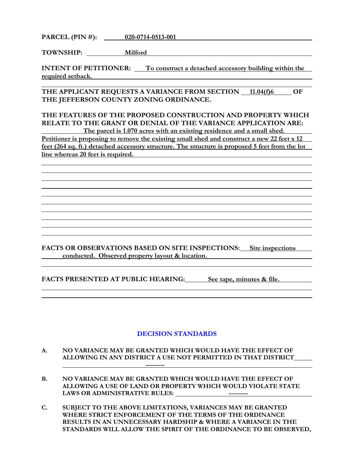**PARCEL (PIN #): 020-0714-0513-001**

**TOWNSHIP: Milford**

**INTENT OF PETITIONER:** To construct a detached accessory building within the **required setback.** 

THE APPLICANT REQUESTS A VARIANCE FROM SECTION 11.04(f)6 OF **THE JEFFERSON COUNTY ZONING ORDINANCE.**

**THE FEATURES OF THE PROPOSED CONSTRUCTION AND PROPERTY WHICH RELATE TO THE GRANT OR DENIAL OF THE VARIANCE APPLICATION ARE: The parcel is 1.070 acres with an existing residence and a small shed.**

Petitioner is proposing to remove the existing small shed and construct a new 22 feet x 12 **feet (264 sq. ft.) detached accessory structure. The structure is proposed 5 feet from the lot line whereas 20 feet is required.** 

**FACTS OR OBSERVATIONS BASED ON SITE INSPECTIONS: Site inspections conducted. Observed property layout & location.**

**FACTS PRESENTED AT PUBLIC HEARING: See tape, minutes & file.**

- **A. NO VARIANCE MAY BE GRANTED WHICH WOULD HAVE THE EFFECT OF ALLOWING IN ANY DISTRICT A USE NOT PERMITTED IN THAT DISTRICT ---------**
- **B. NO VARIANCE MAY BE GRANTED WHICH WOULD HAVE THE EFFECT OF ALLOWING A USE OF LAND OR PROPERTY WHICH WOULD VIOLATE STATE LAWS OR ADMINISTRATIVE RULES: ---------**
- **C. SUBJECT TO THE ABOVE LIMITATIONS, VARIANCES MAY BE GRANTED WHERE STRICT ENFORCEMENT OF THE TERMS OF THE ORDINANCE RESULTS IN AN UNNECESSARY HARDSHIP & WHERE A VARIANCE IN THE STANDARDS WILL ALLOW THE SPIRIT OF THE ORDINANCE TO BE OBSERVED,**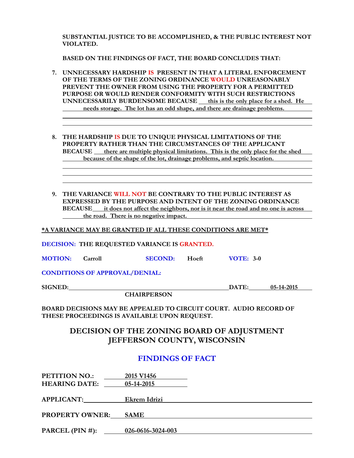**BASED ON THE FINDINGS OF FACT, THE BOARD CONCLUDES THAT:**

- **7. UNNECESSARY HARDSHIP IS PRESENT IN THAT A LITERAL ENFORCEMENT OF THE TERMS OF THE ZONING ORDINANCE WOULD UNREASONABLY PREVENT THE OWNER FROM USING THE PROPERTY FOR A PERMITTED PURPOSE OR WOULD RENDER CONFORMITY WITH SUCH RESTRICTIONS UNNECESSARILY BURDENSOME BECAUSE \_\_ this is the only place for a shed. He needs storage. The lot has an odd shape, and there are drainage problems.**
- **8. THE HARDSHIP IS DUE TO UNIQUE PHYSICAL LIMITATIONS OF THE PROPERTY RATHER THAN THE CIRCUMSTANCES OF THE APPLICANT BECAUSE** there are multiple physical limitations. This is the only place for the shed **because of the shape of the lot, drainage problems, and septic location.**
- **9. THE VARIANCE WILL NOT BE CONTRARY TO THE PUBLIC INTEREST AS EXPRESSED BY THE PURPOSE AND INTENT OF THE ZONING ORDINANCE BECAUSE it does not affect the neighbors, nor is it near the road and no one is across the road. There is no negative impact.**

**\*A VARIANCE MAY BE GRANTED IF ALL THESE CONDITIONS ARE MET\***

**DECISION: THE REQUESTED VARIANCE IS GRANTED.**

| <b>MOTION:</b> | Carroll | <b>SECOND:</b> | Hoeft | <b>VOTE: 3-0</b> |
|----------------|---------|----------------|-------|------------------|
|----------------|---------|----------------|-------|------------------|

**CONDITIONS OF APPROVAL/DENIAL:**

**SIGNED: DATE: 05-14-2015** 

**CHAIRPERSON**

**BOARD DECISIONS MAY BE APPEALED TO CIRCUIT COURT. AUDIO RECORD OF THESE PROCEEDINGS IS AVAILABLE UPON REQUEST.**

## **DECISION OF THE ZONING BOARD OF ADJUSTMENT JEFFERSON COUNTY, WISCONSIN**

## **FINDINGS OF FACT**

| PETITION NO.:<br><b>HEARING DATE:</b> | 2015 V <sub>1456</sub><br>05-14-2015 |
|---------------------------------------|--------------------------------------|
| <b>APPLICANT:</b>                     | Ekrem Idrizi                         |
| <b>PROPERTY OWNER:</b>                | <b>SAME</b>                          |
| PARCEL $(PIN #)$ :                    | 026-0616-3024-003                    |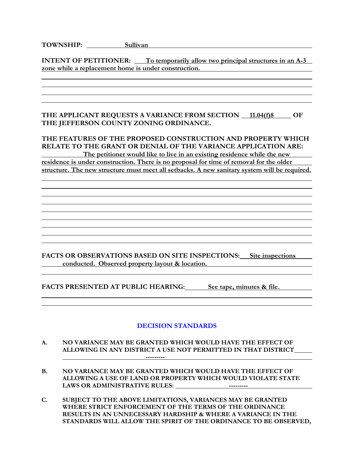# **TOWNSHIP: Sullivan**

**INTENT OF PETITIONER:** To temporarily allow two principal structures in an A-3 **zone while a replacement home is under construction.** 

### **THE APPLICANT REQUESTS A VARIANCE FROM SECTION 11.04(f)8 OF THE JEFFERSON COUNTY ZONING ORDINANCE.**

## **THE FEATURES OF THE PROPOSED CONSTRUCTION AND PROPERTY WHICH RELATE TO THE GRANT OR DENIAL OF THE VARIANCE APPLICATION ARE:**

**The petitioner would like to live in an existing residence while the new residence is under construction. There is no proposal for time of removal for the older structure. The new structure must meet all setbacks. A new sanitary system will be required.** 

**FACTS OR OBSERVATIONS BASED ON SITE INSPECTIONS: Site inspections conducted. Observed property layout & location.**

<u> 1989 - Andrea San Andrea San Andrea San Andrea San Andrea San Andrea San Andrea San Andrea San Andrea San An</u>

**FACTS PRESENTED AT PUBLIC HEARING: See tape, minutes & file.**

- **A. NO VARIANCE MAY BE GRANTED WHICH WOULD HAVE THE EFFECT OF ALLOWING IN ANY DISTRICT A USE NOT PERMITTED IN THAT DISTRICT ---------**
- **B. NO VARIANCE MAY BE GRANTED WHICH WOULD HAVE THE EFFECT OF ALLOWING A USE OF LAND OR PROPERTY WHICH WOULD VIOLATE STATE LAWS OR ADMINISTRATIVE RULES: ---------**
- **C. SUBJECT TO THE ABOVE LIMITATIONS, VARIANCES MAY BE GRANTED WHERE STRICT ENFORCEMENT OF THE TERMS OF THE ORDINANCE RESULTS IN AN UNNECESSARY HARDSHIP & WHERE A VARIANCE IN THE STANDARDS WILL ALLOW THE SPIRIT OF THE ORDINANCE TO BE OBSERVED,**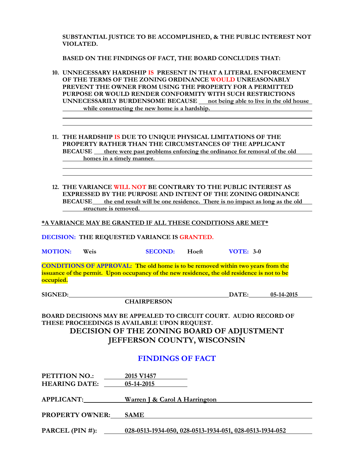**BASED ON THE FINDINGS OF FACT, THE BOARD CONCLUDES THAT:**

- **10. UNNECESSARY HARDSHIP IS PRESENT IN THAT A LITERAL ENFORCEMENT OF THE TERMS OF THE ZONING ORDINANCE WOULD UNREASONABLY PREVENT THE OWNER FROM USING THE PROPERTY FOR A PERMITTED PURPOSE OR WOULD RENDER CONFORMITY WITH SUCH RESTRICTIONS UNNECESSARILY BURDENSOME BECAUSE \_\_ not being able to live in the old house while constructing the new home is a hardship.**
- **11. THE HARDSHIP IS DUE TO UNIQUE PHYSICAL LIMITATIONS OF THE PROPERTY RATHER THAN THE CIRCUMSTANCES OF THE APPLICANT BECAUSE** there were past problems enforcing the ordinance for removal of the old **homes in a timely manner.**
- **12. THE VARIANCE WILL NOT BE CONTRARY TO THE PUBLIC INTEREST AS EXPRESSED BY THE PURPOSE AND INTENT OF THE ZONING ORDINANCE BECAUSE the end result will be one residence. There is no impact as long as the old structure is removed.**

**\*A VARIANCE MAY BE GRANTED IF ALL THESE CONDITIONS ARE MET\***

**DECISION: THE REQUESTED VARIANCE IS GRANTED.**

**MOTION: Weis SECOND: Hoeft VOTE: 3-0**

**CONDITIONS OF APPROVAL: The old home is to be removed within two years from the issuance of the permit. Upon occupancy of the new residence, the old residence is not to be occupied.**

**SIGNED: DATE: 05-14-2015**

**CHAIRPERSON**

**BOARD DECISIONS MAY BE APPEALED TO CIRCUIT COURT. AUDIO RECORD OF THESE PROCEEDINGS IS AVAILABLE UPON REQUEST. DECISION OF THE ZONING BOARD OF ADJUSTMENT JEFFERSON COUNTY, WISCONSIN**

## **FINDINGS OF FACT**

| PETITION NO.:<br><b>HEARING DATE:</b> | 2015 V1457<br>05-14-2015                                |
|---------------------------------------|---------------------------------------------------------|
| <b>APPLICANT:</b>                     | Warren J & Carol A Harrington                           |
| <b>PROPERTY OWNER:</b>                | <b>SAME</b>                                             |
| PARCEL $(PIN #)$ :                    | 028-0513-1934-050, 028-0513-1934-051, 028-0513-1934-052 |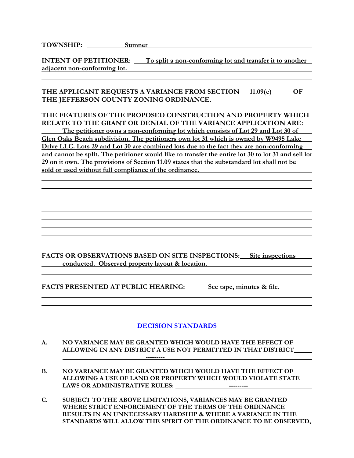**TOWNSHIP: Sumner**

**INTENT OF PETITIONER:** To split a non-conforming lot and transfer it to another **adjacent non-conforming lot.** 

### THE APPLICANT REQUESTS A VARIANCE FROM SECTION 11.09(c) OF **THE JEFFERSON COUNTY ZONING ORDINANCE.**

### **THE FEATURES OF THE PROPOSED CONSTRUCTION AND PROPERTY WHICH RELATE TO THE GRANT OR DENIAL OF THE VARIANCE APPLICATION ARE:**

**The petitioner owns a non-conforming lot which consists of Lot 29 and Lot 30 of Glen Oaks Beach subdivision. The petitioners own lot 31 which is owned by W9495 Lake Drive LLC. Lots 29 and Lot 30 are combined lots due to the fact they are non-conforming and cannot be split. The petitioner would like to transfer the entire lot 30 to lot 31 and sell lot 29 on it own. The provisions of Section 11.09 states that the substandard lot shall not be sold or used without full compliance of the ordinance.** 

**FACTS OR OBSERVATIONS BASED ON SITE INSPECTIONS: Site inspections conducted. Observed property layout & location.**

<u> 1989 - Andrea San Andrea San Andrea San Andrea San Andrea San Andrea San Andrea San Andrea San Andrea San An</u>

**FACTS PRESENTED AT PUBLIC HEARING: See tape, minutes & file.**

### **DECISION STANDARDS**

**A. NO VARIANCE MAY BE GRANTED WHICH WOULD HAVE THE EFFECT OF ALLOWING IN ANY DISTRICT A USE NOT PERMITTED IN THAT DISTRICT**

**---------**

- **B. NO VARIANCE MAY BE GRANTED WHICH WOULD HAVE THE EFFECT OF ALLOWING A USE OF LAND OR PROPERTY WHICH WOULD VIOLATE STATE LAWS OR ADMINISTRATIVE RULES: ---------**
- **C. SUBJECT TO THE ABOVE LIMITATIONS, VARIANCES MAY BE GRANTED WHERE STRICT ENFORCEMENT OF THE TERMS OF THE ORDINANCE RESULTS IN AN UNNECESSARY HARDSHIP & WHERE A VARIANCE IN THE STANDARDS WILL ALLOW THE SPIRIT OF THE ORDINANCE TO BE OBSERVED,**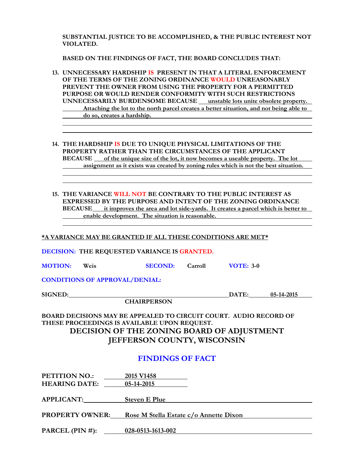**BASED ON THE FINDINGS OF FACT, THE BOARD CONCLUDES THAT:**

- **13. UNNECESSARY HARDSHIP IS PRESENT IN THAT A LITERAL ENFORCEMENT OF THE TERMS OF THE ZONING ORDINANCE WOULD UNREASONABLY PREVENT THE OWNER FROM USING THE PROPERTY FOR A PERMITTED PURPOSE OR WOULD RENDER CONFORMITY WITH SUCH RESTRICTIONS UNNECESSARILY BURDENSOME BECAUSE \_\_ unstable lots unite obsolete property. Attaching the lot to the north parcel creates a better situation, and not being able to do so, creates a hardship.**
- **14. THE HARDSHIP IS DUE TO UNIQUE PHYSICAL LIMITATIONS OF THE PROPERTY RATHER THAN THE CIRCUMSTANCES OF THE APPLICANT BECAUSE** of the unique size of the lot, it now becomes a useable property. The lot **assignment as it exists was created by zoning rules which is not the best situation.**
- **15. THE VARIANCE WILL NOT BE CONTRARY TO THE PUBLIC INTEREST AS EXPRESSED BY THE PURPOSE AND INTENT OF THE ZONING ORDINANCE BECAUSE it improves the area and lot side-yards. It creates a parcel which is better to enable development. The situation is reasonable.**

**\*A VARIANCE MAY BE GRANTED IF ALL THESE CONDITIONS ARE MET\***

**DECISION: THE REQUESTED VARIANCE IS GRANTED.**

| <b>MOTION:</b> | Weis | <b>SECOND:</b> | Carroll | <b>VOTE: 3-0</b> |
|----------------|------|----------------|---------|------------------|
|----------------|------|----------------|---------|------------------|

**CONDITIONS OF APPROVAL/DENIAL:**

**SIGNED: DATE: 05-14-2015**

**CHAIRPERSON**

**BOARD DECISIONS MAY BE APPEALED TO CIRCUIT COURT. AUDIO RECORD OF THESE PROCEEDINGS IS AVAILABLE UPON REQUEST. DECISION OF THE ZONING BOARD OF ADJUSTMENT JEFFERSON COUNTY, WISCONSIN**

## **FINDINGS OF FACT**

| PETITION NO.:<br><b>HEARING DATE:</b> | 2015 V1458<br>05-14-2015               |
|---------------------------------------|----------------------------------------|
| APPLICANT:                            | <b>Steven E Plue</b>                   |
| <b>PROPERTY OWNER:</b>                | Rose M Stella Estate c/o Annette Dixon |
| PARCEL (PIN $#$ ):                    | 028-0513-1613-002                      |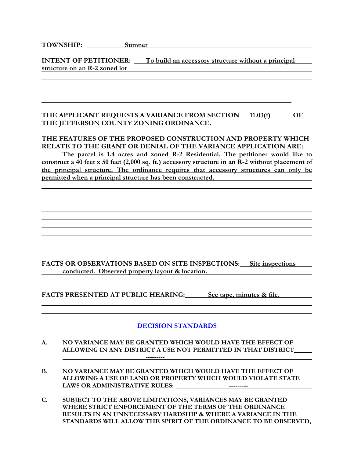**INTENT OF PETITIONER:** To build an accessory structure without a principal **structure on an R-2 zoned lot**

### **THE APPLICANT REQUESTS A VARIANCE FROM SECTION 11.03(f) OF THE JEFFERSON COUNTY ZONING ORDINANCE.**

### **THE FEATURES OF THE PROPOSED CONSTRUCTION AND PROPERTY WHICH RELATE TO THE GRANT OR DENIAL OF THE VARIANCE APPLICATION ARE:**

**The parcel is 1.4 acres and zoned R-2 Residential. The petitioner would like to construct a 40 feet x 50 feet (2,000 sq. ft.) accessory structure in an R-2 without placement of the principal structure. The ordinance requires that accessory structures can only be permitted when a principal structure has been constructed.** 

**FACTS OR OBSERVATIONS BASED ON SITE INSPECTIONS: Site inspections conducted. Observed property layout & location.**

**FACTS PRESENTED AT PUBLIC HEARING: See tape, minutes & file.**

- **A. NO VARIANCE MAY BE GRANTED WHICH WOULD HAVE THE EFFECT OF ALLOWING IN ANY DISTRICT A USE NOT PERMITTED IN THAT DISTRICT ---------**
- **B. NO VARIANCE MAY BE GRANTED WHICH WOULD HAVE THE EFFECT OF ALLOWING A USE OF LAND OR PROPERTY WHICH WOULD VIOLATE STATE LAWS OR ADMINISTRATIVE RULES: ---------**
- **C. SUBJECT TO THE ABOVE LIMITATIONS, VARIANCES MAY BE GRANTED WHERE STRICT ENFORCEMENT OF THE TERMS OF THE ORDINANCE RESULTS IN AN UNNECESSARY HARDSHIP & WHERE A VARIANCE IN THE STANDARDS WILL ALLOW THE SPIRIT OF THE ORDINANCE TO BE OBSERVED,**